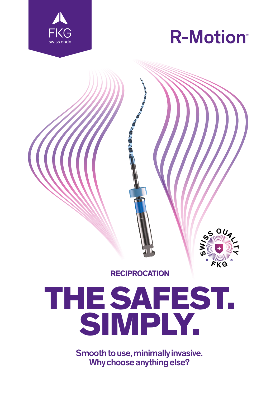

I



**S W**

 $\cdot \frac{a \nu}{4}$ 

**F K G**

**H Y**



## THE SAFEST. SIMPLY.

Smooth to use, minimally invasive. Why choose anything else?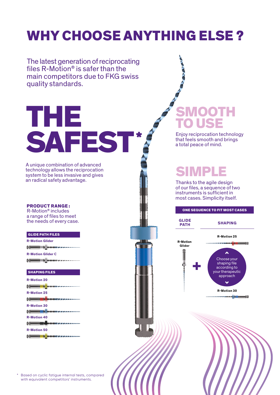### WHY CHOOSE ANYTHING ELSE ?

The latest generation of reciprocating files R-Motion® is safer than the main competitors due to FKG swiss quality standards. THE **SMOOTH** TO USE SAFEST\* Enjoy reciprocation technology that feels smooth and brings a total peace of mind. A unique combination of advanced SIMPLE technology allows the reciprocation system to be less invasive and gives an radical safety advantage. Thanks to the agile design of our files, a sequence of two instruments is sufficient in most cases. Simplicity itself. PRODUCT RANGE : ONE SEQUENCE TO FIT MOST CASES R-Motion® includes a range of files to meet **GLIDE**  the needs of every case. **SHAPING PATH** GLIDE PATH FILES **R-Motion 25 R-Motion Glider R-Motion Glider**  $H = H$ **R-Motion Glider C** Choose your  $H = H$ + shaping file according to your therapeutic SHAPING FILES approach**R-Motion 20**  $\checkmark$  $H = H$ **R-Motion 30 R-Motion 25 ME** e di **R-Motion 30 New York R-Motion 40**  $r = r$ **R-Motion 50 CO** ma a b

Based on cyclic fatigue internal tests, compared with equivalent competitors' instruments.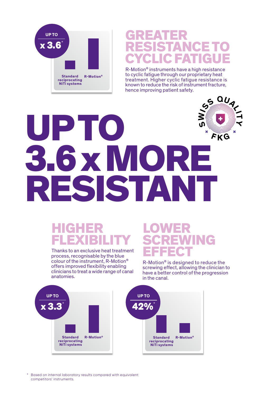

#### GREATER NCE **FAT**

R-Motion® instruments have a high resistance to cyclic fatigue through our proprietary heat treatment. Higher cyclic fatigue resistance is known to reduce the risk of instrument fracture, hence improving patient safety.

> **T Y**

### **S W<sup>I</sup>S<sup>S</sup> <sup>Q</sup>UAL<sup>I</sup>** UP TO **<sup>F</sup> <sup>K</sup> <sup>G</sup>** 3.6 x MORE RESISTANT

#### HIGHER FLEXIBILITY

Thanks to an exclusive heat treatment process, recognisable by the blue colour of the instrument, R-Motion® offers improved flexibility enabling clinicians to treat a wide range of canal anatomies.

#### **LOWER** ING EFFECT

R-Motion® is designed to reduce the screwing effect, allowing the clinician to have a better control of the progression in the canal.



\* Based on internal laboratory results compared with equivalent competitors' instruments.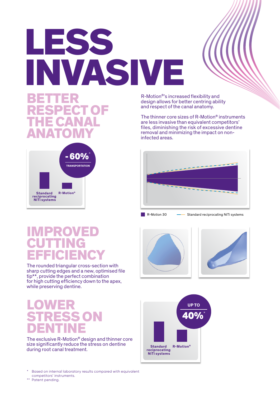## LESS INVASIVE

#### **BETTER** RESPECT OF THE CANAL ANATOMY



R-Motion®'s increased flexibility and design allows for better centring ability and respect of the canal anatomy.

The thinner core sizes of R-Motion® instruments are less invasive than equivalent competitors' files, diminishing the risk of excessive dentine removal and minimizing the impact on noninfected areas.



R-Motion 30 - Standard reciprocating NiTi systems







#### IMPROVED CUTTING EFFICIENCY

The rounded triangular cross-section with sharp cutting edges and a new, optimised file tip\*\*, provide the perfect combination for high cutting efficiency down to the apex, while preserving dentine.

#### **LOWER STRESS ON** DENTINE

The exclusive R-Motion® design and thinner core size significantly reduce the stress on dentine during root canal treatment.

Based on internal laboratory results compared with equivalent competitors' instruments.

\*\* Patent pending.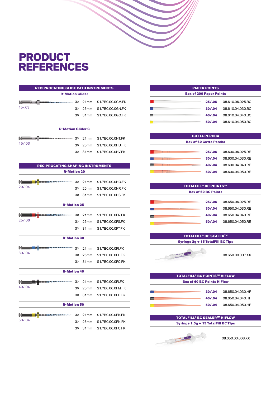#### **PRODUCT** REFERENCES

| <b>RECIPROCATING GLIDE PATH INSTRUMENTS</b> |                          |                  |                                            |
|---------------------------------------------|--------------------------|------------------|--------------------------------------------|
| <b>R-Motion Glider</b>                      |                          |                  |                                            |
| $\epsilon = \epsilon$                       |                          |                  | $3 \times 21$ mm $51.7B0.00.0$ GM.FK       |
| 15/03                                       | 3×.                      | 25mm             | S1.7B0.00.0GN.FK                           |
|                                             |                          |                  | 3X 31mm S1.7B0.00.0GO.FK                   |
|                                             |                          |                  |                                            |
|                                             | <b>R-Motion Glider C</b> |                  |                                            |
| $\epsilon = -1$                             |                          |                  | <b>BUDDERWARE 3X 21mm S1.7B0.00.0HT.FK</b> |
| 15/03                                       | 3×.                      | 25 <sub>mm</sub> | S1.7B0.00.0HU.FK                           |
|                                             | 3×.                      | 31mm             | S1.7B0.00.0HV.FK                           |

| <b>RECIPROCATING SHAPING INSTRUMENTS</b><br><b>R-Motion 20</b> |           |                  |                  |
|----------------------------------------------------------------|-----------|------------------|------------------|
|                                                                |           |                  |                  |
| 20/0.04                                                        | З×        | 25 <sub>mm</sub> | S1.7B0.00.0HR.FK |
|                                                                | 3×        | 31mm             | S1.7B0.00.0HS.FK |
| <b>R-Motion 25</b>                                             |           |                  |                  |
| <b>DUSTRIAL SECTION 3X</b><br>--                               |           | 21mm             | S1.7B0.00.0FR.FK |
| 25/.06                                                         | З×        | 25mm             | S1.7B0.00.0FS.FK |
|                                                                | $3\times$ | 31mm             | S1.7B0.00.0FT.FK |
| <b>R-Motion 30</b>                                             |           |                  |                  |
|                                                                |           |                  |                  |
| 30/0.04                                                        | $3\times$ | 21mm             | S1.7B0.00.0FI.FK |
|                                                                | З×        | 25 <sub>mm</sub> | S1.7B0.00.0FL.FK |
|                                                                | 3×        | 31mm             | S1.7B0.00.0FO.FK |
| <b>R-Motion 40</b>                                             |           |                  |                  |
| <b>BUSINESS CONTRACTOR</b> 3X                                  |           | 21mm             | S1.7B0.00.0FJ.FK |
| 40/.04                                                         | З×        | 25mm             | S1.7B0.00.0FM.FK |
|                                                                | З×        | 31mm             | S1.7B0.00.0FP.FK |
| <b>R-Motion 50</b>                                             |           |                  |                  |
| 15050303030303030303                                           | $3\times$ | 21mm             | S1.7B0.00.0FK.FK |
| 50/.04                                                         | З×        | 25 <sub>mm</sub> | S1.7B0.00.0FN.FK |
|                                                                | 3×        | 31mm             | S1.7B0.00.0FQ.FK |

| <b>PAPER POINTS</b>            |         |                  |  |
|--------------------------------|---------|------------------|--|
| <b>Box of 200 Paper Points</b> |         |                  |  |
|                                | 25/.06  | 08.610.06.025.BC |  |
|                                | 30/0.04 | 08.610.04.030.BC |  |
|                                | 40/.04  | 08.610.04.040.BC |  |
|                                | 50/.04  | 08.610.04.050.BC |  |

| <b>GUTTA PERCHA</b>           |         |                  |  |
|-------------------------------|---------|------------------|--|
| <b>Box of 60 Gutta Percha</b> |         |                  |  |
|                               | 25/.06  | 08.600.06.025.RF |  |
|                               | 30/0.04 | 08.600.04.030.RF |  |
|                               | 40/.04  | 08.600.04.040.RE |  |
|                               | 50/04   | 08.600.04.050.RE |  |

| <b>TOTALFILL® BC POINTS™</b> |         |                  |  |
|------------------------------|---------|------------------|--|
| <b>Box of 60 BC Points</b>   |         |                  |  |
|                              |         |                  |  |
|                              | 25/.06  | 08.650.06.025.RE |  |
|                              | 30/0.04 | 08.650.04.030.RE |  |
|                              | 40/04   | 08.650.04.040.RF |  |
|                              | 50/.04  | 08.650.04.050.RF |  |

#### TOTALFILL® BC SEALERTM Syringe 2g + 15 TotalFill BC Tips



08.650.00.007.XX

| <b>TOTALFILL® BC POINTS™ HIFLOW</b> |         |                  |
|-------------------------------------|---------|------------------|
| <b>Box of 60 BC Points HiFlow</b>   |         |                  |
|                                     |         |                  |
|                                     | 30/0.04 | 08.650.04.030.HF |
|                                     | 40/.04  | 08.650.04.040.HF |
|                                     | 50/0.04 | 08.650.04.050.HF |

#### TOTALFILL® BC SEALERTM HIFLOW Syringe 1.5g + 15 TotalFill BC Tips



08.650.00.008.XX